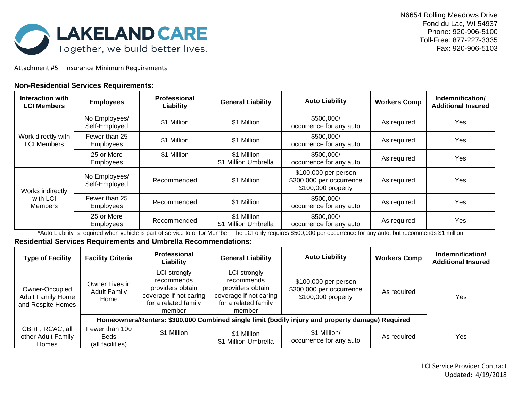

Attachment #5 – Insurance Minimum Requirements

## **Non-Residential Services Requirements:**

| Interaction with<br><b>LCI Members</b>   | <b>Employees</b>                  | <b>Professional</b><br>Liability | <b>General Liability</b>            | <b>Auto Liability</b>                                                  | <b>Workers Comp</b> | Indemnification/<br><b>Additional Insured</b> |
|------------------------------------------|-----------------------------------|----------------------------------|-------------------------------------|------------------------------------------------------------------------|---------------------|-----------------------------------------------|
| Work directly with<br><b>LCI Members</b> | No Employees/<br>Self-Employed    | \$1 Million                      | \$1 Million                         | \$500,000/<br>occurrence for any auto                                  | As required         | Yes                                           |
|                                          | Fewer than 25<br><b>Employees</b> | \$1 Million                      | \$1 Million                         | \$500,000/<br>occurrence for any auto                                  | As required         | Yes                                           |
|                                          | 25 or More<br><b>Employees</b>    | \$1 Million                      | \$1 Million<br>\$1 Million Umbrella | \$500,000/<br>occurrence for any auto                                  | As required         | Yes                                           |
| Works indirectly<br>with LCI<br>Members  | No Employees/<br>Self-Employed    | Recommended                      | \$1 Million                         | \$100,000 per person<br>\$300,000 per occurrence<br>\$100,000 property | As required         | Yes                                           |
|                                          | Fewer than 25<br><b>Employees</b> | Recommended                      | \$1 Million                         | \$500,000/<br>occurrence for any auto                                  | As required         | Yes                                           |
|                                          | 25 or More<br>Employees           | Recommended                      | \$1 Million<br>\$1 Million Umbrella | \$500,000/<br>occurrence for any auto                                  | As required         | Yes                                           |

\*Auto Liability is required when vehicle is part of service to or for Member. The LCI only requires \$500,000 per occurrence for any auto, but recommends \$1 million.

## **Residential Services Requirements and Umbrella Recommendations:**

| <b>Type of Facility</b>                                         | <b>Facility Criteria</b>                                                                         | Professional<br>Liability                                                                                  | <b>General Liability</b>                                                                                   | <b>Auto Liability</b>                                                  | <b>Workers Comp</b> | Indemnification/<br><b>Additional Insured</b> |
|-----------------------------------------------------------------|--------------------------------------------------------------------------------------------------|------------------------------------------------------------------------------------------------------------|------------------------------------------------------------------------------------------------------------|------------------------------------------------------------------------|---------------------|-----------------------------------------------|
| Owner-Occupied<br><b>Adult Family Home</b><br>and Respite Homes | Owner Lives in<br><b>Adult Family</b><br>Home                                                    | LCI strongly<br>recommends<br>providers obtain<br>coverage if not caring<br>for a related family<br>member | LCI strongly<br>recommends<br>providers obtain<br>coverage if not caring<br>for a related family<br>member | \$100,000 per person<br>\$300,000 per occurrence<br>\$100,000 property | As required         | Yes                                           |
|                                                                 | Homeowners/Renters: \$300,000 Combined single limit (bodily injury and property damage) Required |                                                                                                            |                                                                                                            |                                                                        |                     |                                               |
| CBRF, RCAC, all<br>other Adult Family<br><b>Homes</b>           | Fewer than 100<br>Beds<br>(all facilities)                                                       | \$1 Million                                                                                                | \$1 Million<br>\$1 Million Umbrella                                                                        | \$1 Million/<br>occurrence for any auto                                | As required         | Yes                                           |